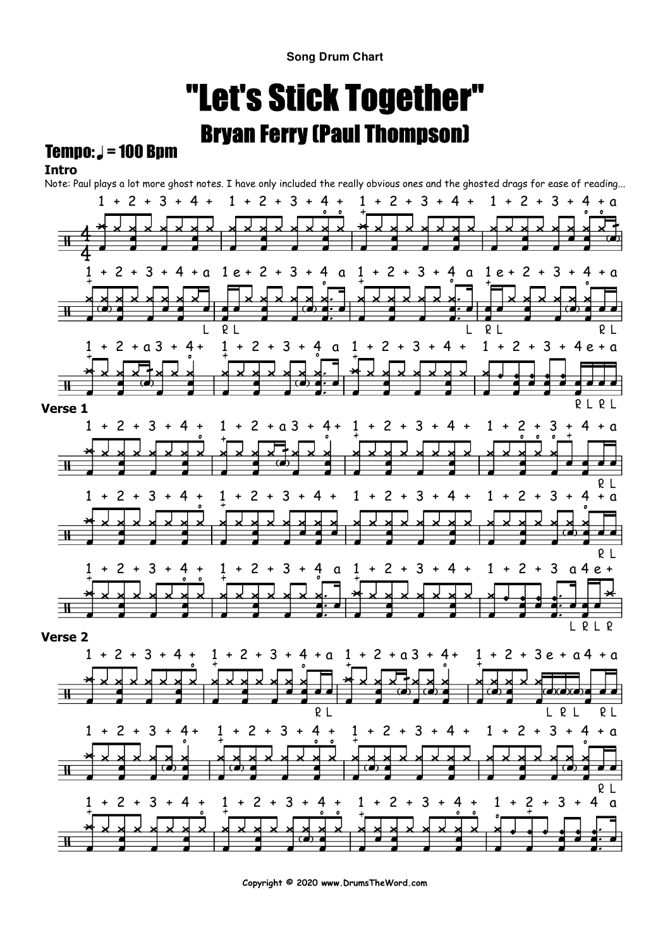**Song Drum Chart**

# "Let's Stick Together"Bryan Ferry (Paul Thompson)

### $Tempo: J = 100 Bnm$

#### **Intro**

Note: Paul plays a lot more ghost notes. I have only included the really obvious ones and the ghosted drags for ease of reading...



**Copyright © 2020 www.DrumsTheWord.com**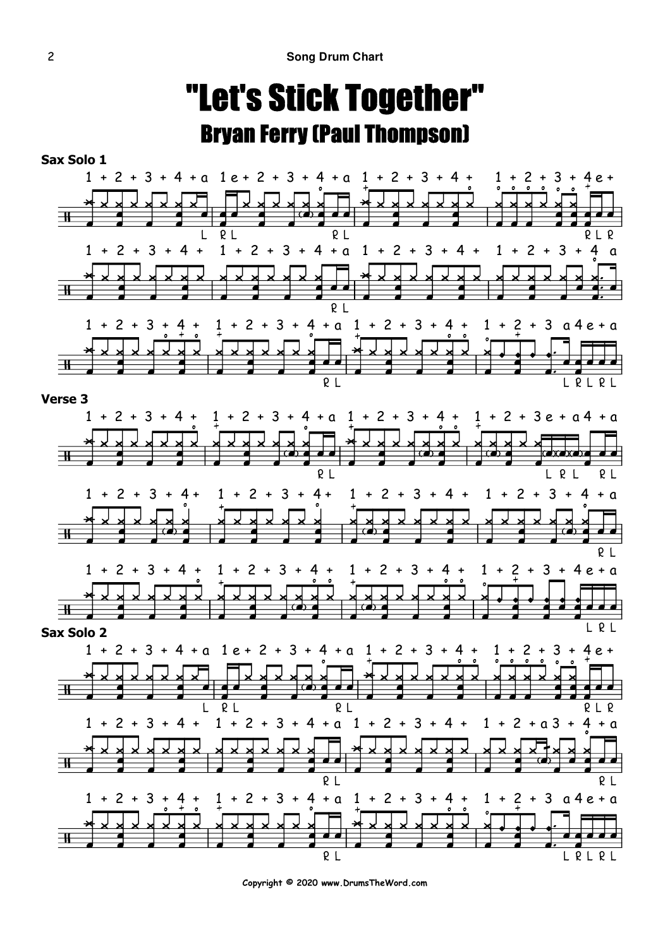## "Let's Stick Together"Bryan Ferry (Paul Thompson)



**Copyright © 2020 www.DrumsTheWord.com**